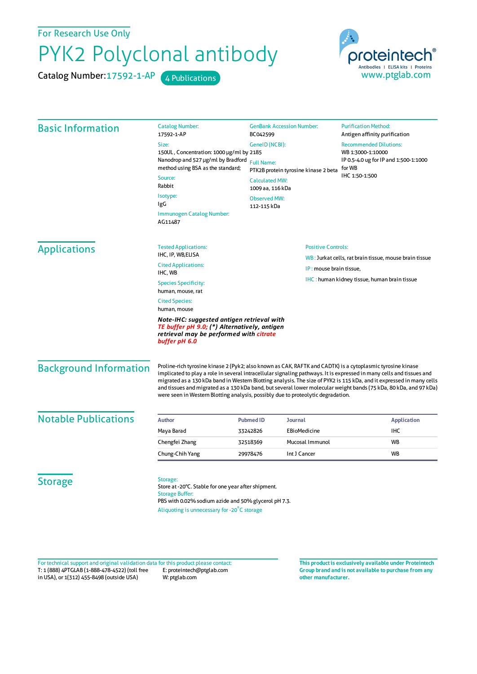For Research Use Only

## PYK2 Polyclonal antibody

Catalog Number: 17592-1-AP 4 Publications



| <b>Basic Information</b>    | <b>Catalog Number:</b><br>17592-1-AP                                                                                                                                                             | <b>GenBank Accession Number:</b><br>BC042599<br>GeneID (NCBI):<br>150UL, Concentration: 1000 µg/ml by 2185<br>Nanodrop and 527 µg/ml by Bradford<br><b>Full Name:</b><br>PTK2B protein tyrosine kinase 2 beta |                                                        | <b>Purification Method:</b><br>Antigen affinity purification                                          |                               |
|-----------------------------|--------------------------------------------------------------------------------------------------------------------------------------------------------------------------------------------------|---------------------------------------------------------------------------------------------------------------------------------------------------------------------------------------------------------------|--------------------------------------------------------|-------------------------------------------------------------------------------------------------------|-------------------------------|
|                             | Size:                                                                                                                                                                                            |                                                                                                                                                                                                               |                                                        | <b>Recommended Dilutions:</b><br>WB 1:3000-1:10000<br>IP 0.5-4.0 ug for IP and 1:500-1:1000<br>for WB |                               |
|                             |                                                                                                                                                                                                  |                                                                                                                                                                                                               |                                                        |                                                                                                       |                               |
|                             | method using BSA as the standard;<br>Source:<br>Rabbit<br>Isotype:<br>IgG                                                                                                                        |                                                                                                                                                                                                               |                                                        |                                                                                                       |                               |
|                             |                                                                                                                                                                                                  | <b>Calculated MW:</b><br>1009 aa, 116 kDa                                                                                                                                                                     |                                                        | IHC 1:50-1:500                                                                                        |                               |
|                             |                                                                                                                                                                                                  | <b>Observed MW:</b><br>112-115 kDa                                                                                                                                                                            |                                                        |                                                                                                       |                               |
|                             | Immunogen Catalog Number:<br>AG11487                                                                                                                                                             |                                                                                                                                                                                                               |                                                        |                                                                                                       |                               |
| <b>Applications</b>         | <b>Tested Applications:</b>                                                                                                                                                                      |                                                                                                                                                                                                               | <b>Positive Controls:</b>                              |                                                                                                       |                               |
|                             | IHC, IP, WB, ELISA                                                                                                                                                                               |                                                                                                                                                                                                               | WB: Jurkat cells, rat brain tissue, mouse brain tissue |                                                                                                       |                               |
|                             | <b>Cited Applications:</b><br>IHC, WB                                                                                                                                                            | IP: mouse brain tissue,                                                                                                                                                                                       |                                                        |                                                                                                       |                               |
|                             | <b>Species Specificity:</b><br>human, mouse, rat                                                                                                                                                 |                                                                                                                                                                                                               | <b>IHC</b> : human kidney tissue, human brain tissue   |                                                                                                       |                               |
|                             | <b>Cited Species:</b><br>human, mouse<br>Note-IHC: suggested antigen retrieval with<br>TE buffer pH 9.0; (*) Alternatively, antigen<br>retrieval may be performed with citrate<br>buffer pH 6.0  |                                                                                                                                                                                                               |                                                        |                                                                                                       |                               |
|                             |                                                                                                                                                                                                  |                                                                                                                                                                                                               |                                                        |                                                                                                       | <b>Background Information</b> |
| <b>Notable Publications</b> | <b>Author</b>                                                                                                                                                                                    | <b>Pubmed ID</b><br><b>Journal</b>                                                                                                                                                                            |                                                        | <b>Application</b>                                                                                    |                               |
|                             | Maya Barad                                                                                                                                                                                       | EBioMedicine<br>33242826                                                                                                                                                                                      |                                                        | IHC                                                                                                   |                               |
|                             | Chengfei Zhang                                                                                                                                                                                   | 32518369                                                                                                                                                                                                      | Mucosal Immunol                                        | <b>WB</b>                                                                                             |                               |
|                             | Chung-Chih Yang                                                                                                                                                                                  | Int J Cancer<br>29978476                                                                                                                                                                                      |                                                        | <b>WB</b>                                                                                             |                               |
| <b>Storage</b>              | Storage:<br>Store at -20°C. Stable for one year after shipment.<br><b>Storage Buffer:</b><br>PBS with 0.02% sodium azide and 50% glycerol pH 7.3.<br>Aliquoting is unnecessary for -20°C storage |                                                                                                                                                                                                               |                                                        |                                                                                                       |                               |

T: 1 (888) 4PTGLAB (1-888-478-4522) (toll free in USA), or 1(312) 455-8498 (outside USA) E: proteintech@ptglab.com W: ptglab.com Fortechnical support and original validation data forthis product please contact: **This productis exclusively available under Proteintech**

**Group brand and is not available to purchase from any other manufacturer.**